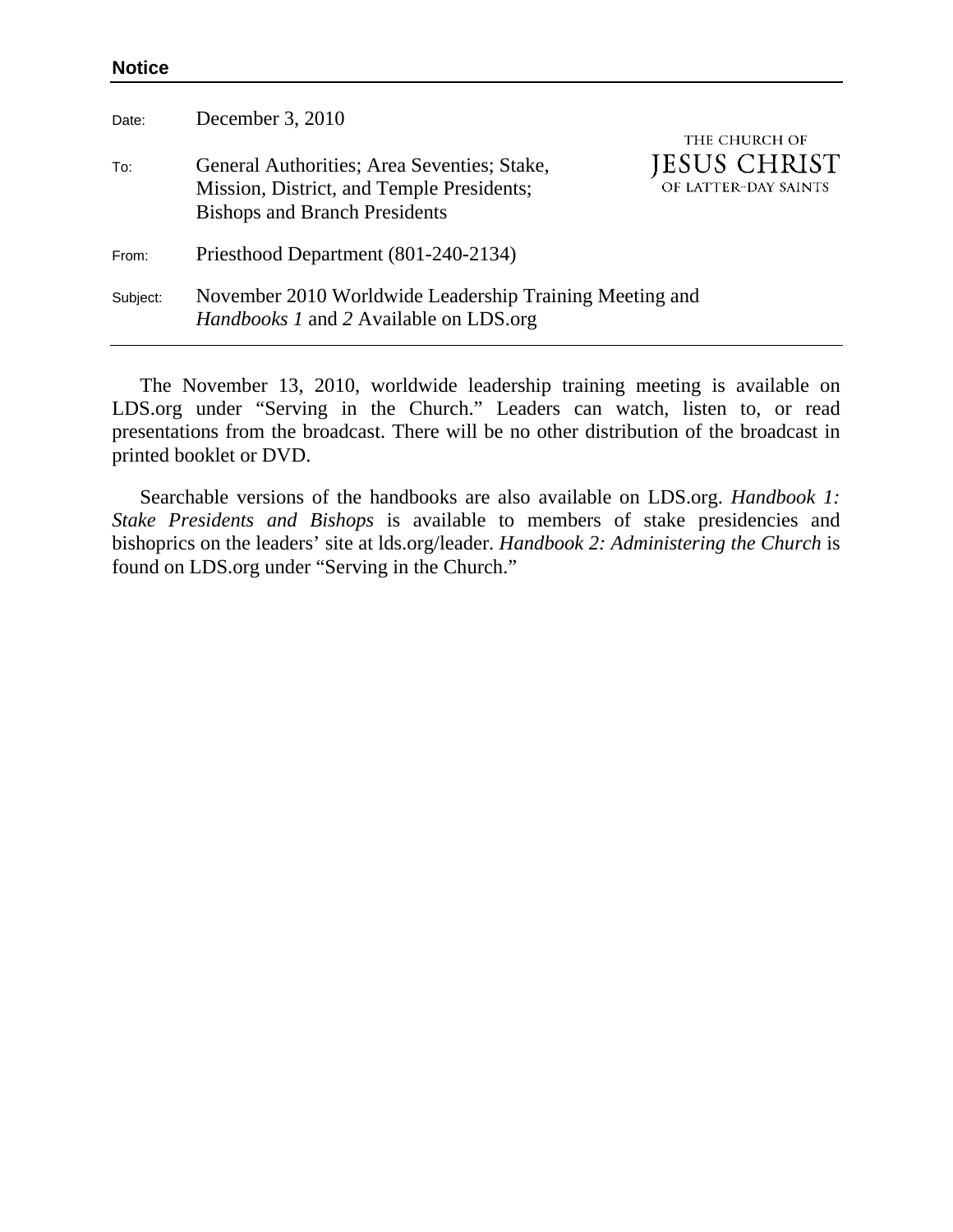## **Notice**

| Date:    | December 3, 2010                                                                                                                 |                                                       |
|----------|----------------------------------------------------------------------------------------------------------------------------------|-------------------------------------------------------|
| To:      | General Authorities; Area Seventies; Stake,<br>Mission, District, and Temple Presidents;<br><b>Bishops and Branch Presidents</b> | THE CHURCH OF<br>JESUS CHRIST<br>OF LATTER-DAY SAINTS |
| From:    | Priesthood Department (801-240-2134)                                                                                             |                                                       |
| Subject: | November 2010 Worldwide Leadership Training Meeting and<br><i>Handbooks 1</i> and 2 Available on LDS.org                         |                                                       |

The November 13, 2010, worldwide leadership training meeting is available on LDS.org under "Serving in the Church." Leaders can watch, listen to, or read presentations from the broadcast. There will be no other distribution of the broadcast in printed booklet or DVD.

Searchable versions of the handbooks are also available on LDS.org. *Handbook 1: Stake Presidents and Bishops* is available to members of stake presidencies and bishoprics on the leaders' site at lds.org/leader. *Handbook 2: Administering the Church* is found on LDS.org under "Serving in the Church."